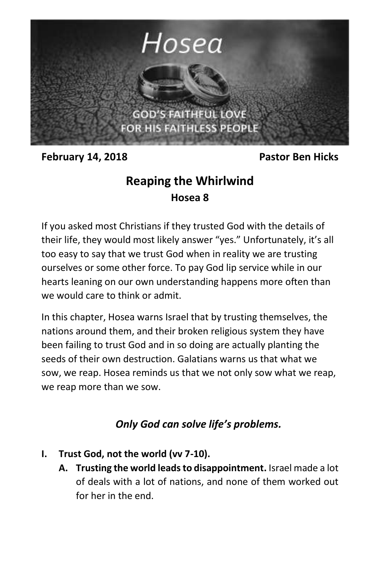

**February 14, 2018** Pastor Ben Hicks

## **Reaping the Whirlwind Hosea 8**

If you asked most Christians if they trusted God with the details of their life, they would most likely answer "yes." Unfortunately, it's all too easy to say that we trust God when in reality we are trusting ourselves or some other force. To pay God lip service while in our hearts leaning on our own understanding happens more often than we would care to think or admit.

In this chapter, Hosea warns Israel that by trusting themselves, the nations around them, and their broken religious system they have been failing to trust God and in so doing are actually planting the seeds of their own destruction. Galatians warns us that what we sow, we reap. Hosea reminds us that we not only sow what we reap, we reap more than we sow.

## *Only God can solve life's problems.*

- **I. Trust God, not the world (vv 7-10).**
	- **A. Trusting the world leads to disappointment.** Israel made a lot of deals with a lot of nations, and none of them worked out for her in the end.